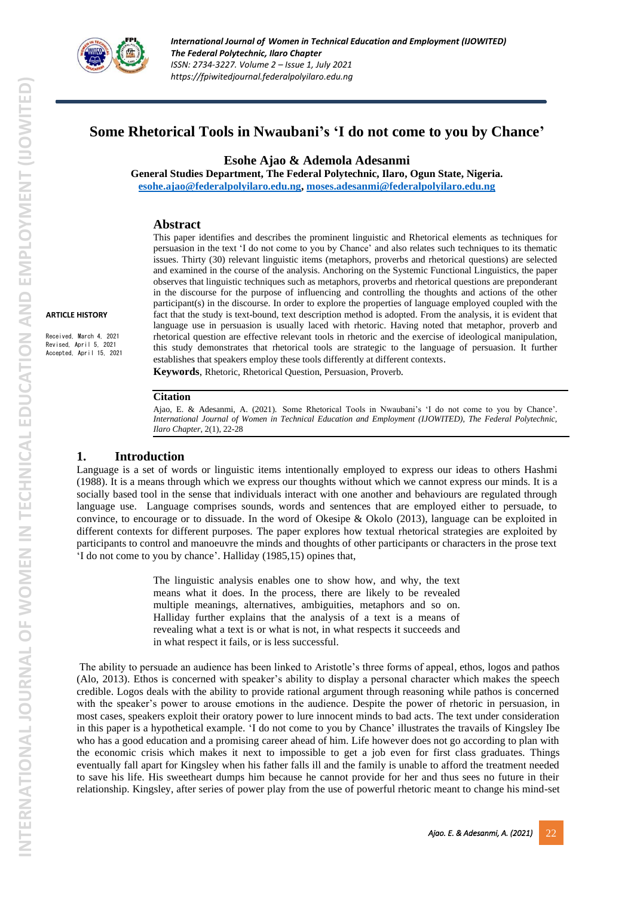

# **Some Rhetorical Tools in Nwaubani's 'I do not come to you by Chance'**

**Esohe Ajao & Ademola Adesanmi**

**General Studies Department, The Federal Polytechnic, Ilaro, Ogun State, Nigeria. [esohe.ajao@federalpolyilaro.edu.ng,](mailto:esohe.ajao@federalpolyilaro.edu.ng) [moses.adesanmi@federalpolyilaro.edu.ng](mailto:moses.adesanmi@federalpolyilaro.edu.ng)**

## **Abstract**

This paper identifies and describes the prominent linguistic and Rhetorical elements as techniques for persuasion in the text 'I do not come to you by Chance' and also relates such techniques to its thematic issues. Thirty (30) relevant linguistic items (metaphors, proverbs and rhetorical questions) are selected and examined in the course of the analysis. Anchoring on the Systemic Functional Linguistics, the paper observes that linguistic techniques such as metaphors, proverbs and rhetorical questions are preponderant in the discourse for the purpose of influencing and controlling the thoughts and actions of the other participant(s) in the discourse. In order to explore the properties of language employed coupled with the fact that the study is text-bound, text description method is adopted. From the analysis, it is evident that language use in persuasion is usually laced with rhetoric. Having noted that metaphor, proverb and rhetorical question are effective relevant tools in rhetoric and the exercise of ideological manipulation, this study demonstrates that rhetorical tools are strategic to the language of persuasion. It further establishes that speakers employ these tools differently at different contexts.

**Keywords**, Rhetoric, Rhetorical Question, Persuasion, Proverb*.*

### **Citation**

Ajao, E. & Adesanmi, A. (2021). Some Rhetorical Tools in Nwaubani's 'I do not come to you by Chance'. *International Journal of Women in Technical Education and Employment (IJOWITED), The Federal Polytechnic, Ilaro Chapter*, 2(1), 22-28

## **1. Introduction**

Language is a set of words or linguistic items intentionally employed to express our ideas to others Hashmi (1988). It is a means through which we express our thoughts without which we cannot express our minds. It is a socially based tool in the sense that individuals interact with one another and behaviours are regulated through language use. Language comprises sounds, words and sentences that are employed either to persuade, to convince, to encourage or to dissuade. In the word of Okesipe & Okolo (2013), language can be exploited in different contexts for different purposes. The paper explores how textual rhetorical strategies are exploited by participants to control and manoeuvre the minds and thoughts of other participants or characters in the prose text 'I do not come to you by chance'. Halliday (1985,15) opines that,

> The linguistic analysis enables one to show how, and why, the text means what it does. In the process, there are likely to be revealed multiple meanings, alternatives, ambiguities, metaphors and so on. Halliday further explains that the analysis of a text is a means of revealing what a text is or what is not, in what respects it succeeds and in what respect it fails, or is less successful.

The ability to persuade an audience has been linked to Aristotle's three forms of appeal, ethos, logos and pathos (Alo, 2013). Ethos is concerned with speaker's ability to display a personal character which makes the speech credible. Logos deals with the ability to provide rational argument through reasoning while pathos is concerned with the speaker's power to arouse emotions in the audience. Despite the power of rhetoric in persuasion, in most cases, speakers exploit their oratory power to lure innocent minds to bad acts. The text under consideration in this paper is a hypothetical example. 'I do not come to you by Chance' illustrates the travails of Kingsley Ibe who has a good education and a promising career ahead of him. Life however does not go according to plan with the economic crisis which makes it next to impossible to get a job even for first class graduates. Things eventually fall apart for Kingsley when his father falls ill and the family is unable to afford the treatment needed to save his life. His sweetheart dumps him because he cannot provide for her and thus sees no future in their relationship. Kingsley, after series of power play from the use of powerful rhetoric meant to change his mind-set

**ARTICLE HISTORY** 

Received, March 4, 2021 Revised, April 5, 2021 Accepted, April 15, 2021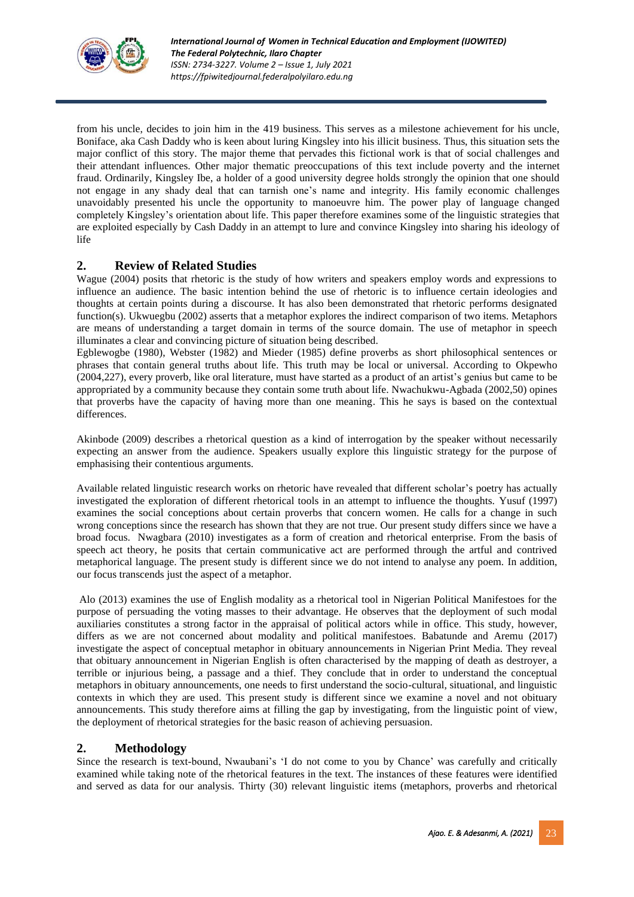

from his uncle, decides to join him in the 419 business. This serves as a milestone achievement for his uncle, Boniface, aka Cash Daddy who is keen about luring Kingsley into his illicit business. Thus, this situation sets the major conflict of this story. The major theme that pervades this fictional work is that of social challenges and their attendant influences. Other major thematic preoccupations of this text include poverty and the internet fraud. Ordinarily, Kingsley Ibe, a holder of a good university degree holds strongly the opinion that one should not engage in any shady deal that can tarnish one's name and integrity. His family economic challenges unavoidably presented his uncle the opportunity to manoeuvre him. The power play of language changed completely Kingsley's orientation about life. This paper therefore examines some of the linguistic strategies that are exploited especially by Cash Daddy in an attempt to lure and convince Kingsley into sharing his ideology of life

## **2. Review of Related Studies**

Wague (2004) posits that rhetoric is the study of how writers and speakers employ words and expressions to influence an audience. The basic intention behind the use of rhetoric is to influence certain ideologies and thoughts at certain points during a discourse. It has also been demonstrated that rhetoric performs designated function(s). Ukwuegbu (2002) asserts that a metaphor explores the indirect comparison of two items. Metaphors are means of understanding a target domain in terms of the source domain. The use of metaphor in speech illuminates a clear and convincing picture of situation being described.

Egblewogbe (1980), Webster (1982) and Mieder (1985) define proverbs as short philosophical sentences or phrases that contain general truths about life. This truth may be local or universal. According to Okpewho (2004,227), every proverb, like oral literature, must have started as a product of an artist's genius but came to be appropriated by a community because they contain some truth about life. Nwachukwu-Agbada (2002,50) opines that proverbs have the capacity of having more than one meaning. This he says is based on the contextual differences.

Akinbode (2009) describes a rhetorical question as a kind of interrogation by the speaker without necessarily expecting an answer from the audience. Speakers usually explore this linguistic strategy for the purpose of emphasising their contentious arguments.

Available related linguistic research works on rhetoric have revealed that different scholar's poetry has actually investigated the exploration of different rhetorical tools in an attempt to influence the thoughts. Yusuf (1997) examines the social conceptions about certain proverbs that concern women. He calls for a change in such wrong conceptions since the research has shown that they are not true. Our present study differs since we have a broad focus. Nwagbara (2010) investigates as a form of creation and rhetorical enterprise. From the basis of speech act theory, he posits that certain communicative act are performed through the artful and contrived metaphorical language. The present study is different since we do not intend to analyse any poem. In addition, our focus transcends just the aspect of a metaphor.

Alo (2013) examines the use of English modality as a rhetorical tool in Nigerian Political Manifestoes for the purpose of persuading the voting masses to their advantage. He observes that the deployment of such modal auxiliaries constitutes a strong factor in the appraisal of political actors while in office. This study, however, differs as we are not concerned about modality and political manifestoes. Babatunde and Aremu (2017) investigate the aspect of conceptual metaphor in obituary announcements in Nigerian Print Media. They reveal that obituary announcement in Nigerian English is often characterised by the mapping of death as destroyer, a terrible or injurious being, a passage and a thief. They conclude that in order to understand the conceptual metaphors in obituary announcements, one needs to first understand the socio-cultural, situational, and linguistic contexts in which they are used. This present study is different since we examine a novel and not obituary announcements. This study therefore aims at filling the gap by investigating, from the linguistic point of view, the deployment of rhetorical strategies for the basic reason of achieving persuasion.

## **2. Methodology**

Since the research is text-bound, Nwaubani's 'I do not come to you by Chance' was carefully and critically examined while taking note of the rhetorical features in the text. The instances of these features were identified and served as data for our analysis. Thirty (30) relevant linguistic items (metaphors, proverbs and rhetorical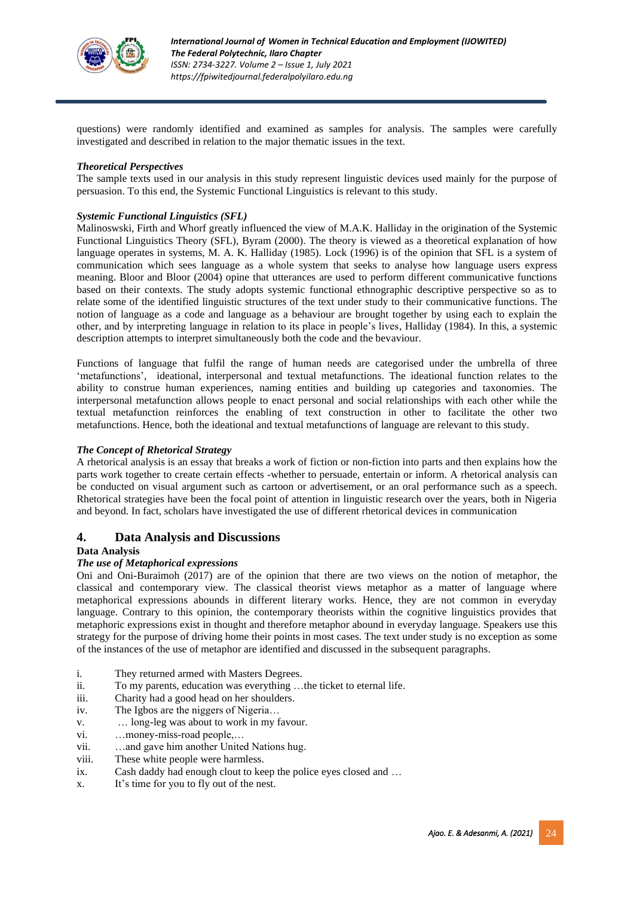

questions) were randomly identified and examined as samples for analysis. The samples were carefully investigated and described in relation to the major thematic issues in the text.

#### *Theoretical Perspectives*

The sample texts used in our analysis in this study represent linguistic devices used mainly for the purpose of persuasion. To this end, the Systemic Functional Linguistics is relevant to this study.

### *Systemic Functional Linguistics (SFL)*

Malinoswski, Firth and Whorf greatly influenced the view of M.A.K. Halliday in the origination of the Systemic Functional Linguistics Theory (SFL), Byram (2000). The theory is viewed as a theoretical explanation of how language operates in systems, M. A. K. Halliday (1985). Lock (1996) is of the opinion that SFL is a system of communication which sees language as a whole system that seeks to analyse how language users express meaning. Bloor and Bloor (2004) opine that utterances are used to perform different communicative functions based on their contexts. The study adopts systemic functional ethnographic descriptive perspective so as to relate some of the identified linguistic structures of the text under study to their communicative functions. The notion of language as a code and language as a behaviour are brought together by using each to explain the other, and by interpreting language in relation to its place in people's lives, Halliday (1984). In this, a systemic description attempts to interpret simultaneously both the code and the bevaviour.

Functions of language that fulfil the range of human needs are categorised under the umbrella of three 'metafunctions', ideational, interpersonal and textual metafunctions. The ideational function relates to the ability to construe human experiences, naming entities and building up categories and taxonomies. The interpersonal metafunction allows people to enact personal and social relationships with each other while the textual metafunction reinforces the enabling of text construction in other to facilitate the other two metafunctions. Hence, both the ideational and textual metafunctions of language are relevant to this study.

#### *The Concept of Rhetorical Strategy*

A rhetorical analysis is an essay that breaks a work of fiction or non-fiction into parts and then explains how the parts work together to create certain effects -whether to persuade, entertain or inform. A rhetorical analysis can be conducted on visual argument such as cartoon or advertisement, or an oral performance such as a speech. Rhetorical strategies have been the focal point of attention in linguistic research over the years, both in Nigeria and beyond. In fact, scholars have investigated the use of different rhetorical devices in communication

## **4. Data Analysis and Discussions**

#### **Data Analysis**

#### *The use of Metaphorical expressions*

Oni and Oni-Buraimoh (2017) are of the opinion that there are two views on the notion of metaphor, the classical and contemporary view. The classical theorist views metaphor as a matter of language where metaphorical expressions abounds in different literary works. Hence, they are not common in everyday language. Contrary to this opinion, the contemporary theorists within the cognitive linguistics provides that metaphoric expressions exist in thought and therefore metaphor abound in everyday language. Speakers use this strategy for the purpose of driving home their points in most cases. The text under study is no exception as some of the instances of the use of metaphor are identified and discussed in the subsequent paragraphs.

- i. They returned armed with Masters Degrees.
- ii. To my parents, education was everything …the ticket to eternal life.
- iii. Charity had a good head on her shoulders.
- iv. The Igbos are the niggers of Nigeria…
- v. … long-leg was about to work in my favour.
- vi. …money-miss-road people,…
- vii. …and gave him another United Nations hug.
- viii. These white people were harmless.
- ix. Cash daddy had enough clout to keep the police eyes closed and …
- x. It's time for you to fly out of the nest.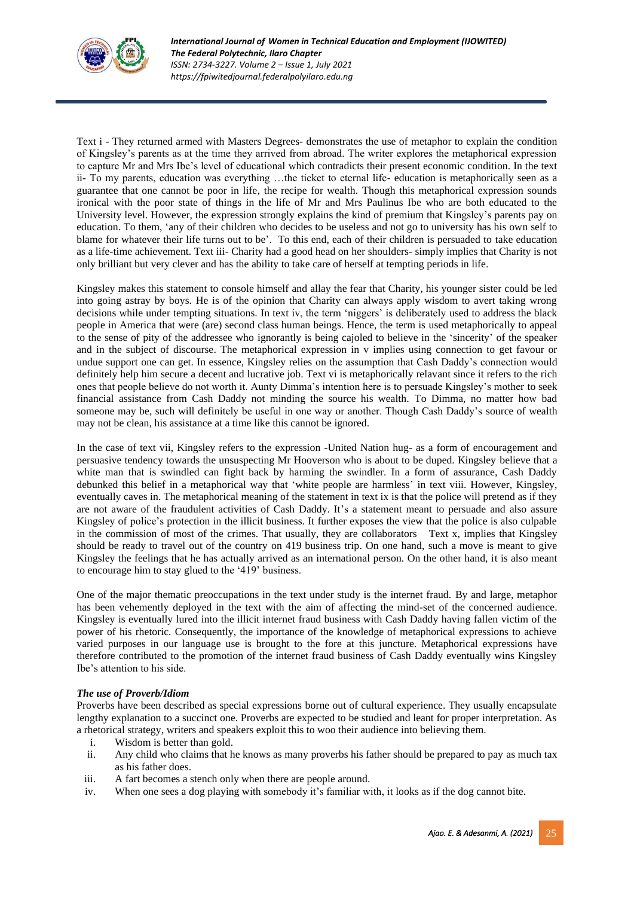

Text i - They returned armed with Masters Degrees- demonstrates the use of metaphor to explain the condition of Kingsley's parents as at the time they arrived from abroad. The writer explores the metaphorical expression to capture Mr and Mrs Ibe's level of educational which contradicts their present economic condition. In the text ii- To my parents, education was everything …the ticket to eternal life- education is metaphorically seen as a guarantee that one cannot be poor in life, the recipe for wealth. Though this metaphorical expression sounds ironical with the poor state of things in the life of Mr and Mrs Paulinus Ibe who are both educated to the University level. However, the expression strongly explains the kind of premium that Kingsley's parents pay on education. To them, 'any of their children who decides to be useless and not go to university has his own self to blame for whatever their life turns out to be'. To this end, each of their children is persuaded to take education as a life-time achievement. Text iii- Charity had a good head on her shoulders- simply implies that Charity is not only brilliant but very clever and has the ability to take care of herself at tempting periods in life.

Kingsley makes this statement to console himself and allay the fear that Charity, his younger sister could be led into going astray by boys. He is of the opinion that Charity can always apply wisdom to avert taking wrong decisions while under tempting situations. In text iv, the term 'niggers' is deliberately used to address the black people in America that were (are) second class human beings. Hence, the term is used metaphorically to appeal to the sense of pity of the addressee who ignorantly is being cajoled to believe in the 'sincerity' of the speaker and in the subject of discourse. The metaphorical expression in v implies using connection to get favour or undue support one can get. In essence, Kingsley relies on the assumption that Cash Daddy's connection would definitely help him secure a decent and lucrative job. Text vi is metaphorically relavant since it refers to the rich ones that people believe do not worth it. Aunty Dimma's intention here is to persuade Kingsley's mother to seek financial assistance from Cash Daddy not minding the source his wealth. To Dimma, no matter how bad someone may be, such will definitely be useful in one way or another. Though Cash Daddy's source of wealth may not be clean, his assistance at a time like this cannot be ignored.

In the case of text vii, Kingsley refers to the expression -United Nation hug- as a form of encouragement and persuasive tendency towards the unsuspecting Mr Hooverson who is about to be duped. Kingsley believe that a white man that is swindled can fight back by harming the swindler. In a form of assurance, Cash Daddy debunked this belief in a metaphorical way that 'white people are harmless' in text viii. However, Kingsley, eventually caves in. The metaphorical meaning of the statement in text ix is that the police will pretend as if they are not aware of the fraudulent activities of Cash Daddy. It's a statement meant to persuade and also assure Kingsley of police's protection in the illicit business. It further exposes the view that the police is also culpable in the commission of most of the crimes. That usually, they are collaborators Text x, implies that Kingsley should be ready to travel out of the country on 419 business trip. On one hand, such a move is meant to give Kingsley the feelings that he has actually arrived as an international person. On the other hand, it is also meant to encourage him to stay glued to the '419' business.

One of the major thematic preoccupations in the text under study is the internet fraud. By and large, metaphor has been vehemently deployed in the text with the aim of affecting the mind-set of the concerned audience. Kingsley is eventually lured into the illicit internet fraud business with Cash Daddy having fallen victim of the power of his rhetoric. Consequently, the importance of the knowledge of metaphorical expressions to achieve varied purposes in our language use is brought to the fore at this juncture. Metaphorical expressions have therefore contributed to the promotion of the internet fraud business of Cash Daddy eventually wins Kingsley Ibe's attention to his side.

## *The use of Proverb/Idiom*

Proverbs have been described as special expressions borne out of cultural experience. They usually encapsulate lengthy explanation to a succinct one. Proverbs are expected to be studied and leant for proper interpretation. As a rhetorical strategy, writers and speakers exploit this to woo their audience into believing them.

- i. Wisdom is better than gold.
- ii. Any child who claims that he knows as many proverbs his father should be prepared to pay as much tax as his father does.
- iii. A fart becomes a stench only when there are people around.
- iv. When one sees a dog playing with somebody it's familiar with, it looks as if the dog cannot bite.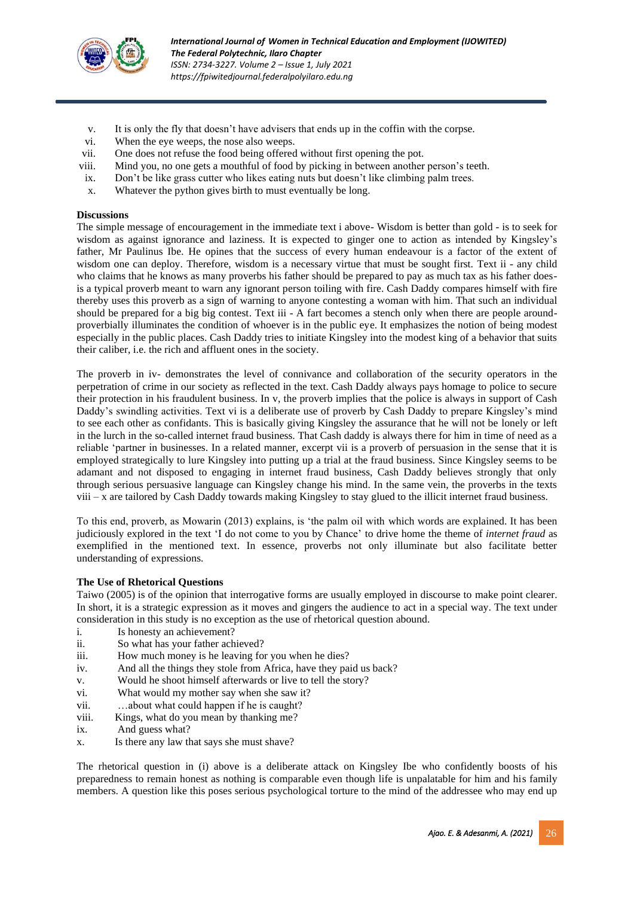

- v. It is only the fly that doesn't have advisers that ends up in the coffin with the corpse.
- vi. When the eye weeps, the nose also weeps.
- vii. One does not refuse the food being offered without first opening the pot.
- viii. Mind you, no one gets a mouthful of food by picking in between another person's teeth.
- ix. Don't be like grass cutter who likes eating nuts but doesn't like climbing palm trees.
- x. Whatever the python gives birth to must eventually be long.

#### **Discussions**

The simple message of encouragement in the immediate text i above- Wisdom is better than gold - is to seek for wisdom as against ignorance and laziness. It is expected to ginger one to action as intended by Kingsley's father, Mr Paulinus Ibe. He opines that the success of every human endeavour is a factor of the extent of wisdom one can deploy. Therefore, wisdom is a necessary virtue that must be sought first. Text ii - any child who claims that he knows as many proverbs his father should be prepared to pay as much tax as his father doesis a typical proverb meant to warn any ignorant person toiling with fire. Cash Daddy compares himself with fire thereby uses this proverb as a sign of warning to anyone contesting a woman with him. That such an individual should be prepared for a big big contest. Text iii - A fart becomes a stench only when there are people aroundproverbially illuminates the condition of whoever is in the public eye. It emphasizes the notion of being modest especially in the public places. Cash Daddy tries to initiate Kingsley into the modest king of a behavior that suits their caliber, i.e. the rich and affluent ones in the society.

The proverb in iv- demonstrates the level of connivance and collaboration of the security operators in the perpetration of crime in our society as reflected in the text. Cash Daddy always pays homage to police to secure their protection in his fraudulent business. In v, the proverb implies that the police is always in support of Cash Daddy's swindling activities. Text vi is a deliberate use of proverb by Cash Daddy to prepare Kingsley's mind to see each other as confidants. This is basically giving Kingsley the assurance that he will not be lonely or left in the lurch in the so-called internet fraud business. That Cash daddy is always there for him in time of need as a reliable 'partner in businesses. In a related manner, excerpt vii is a proverb of persuasion in the sense that it is employed strategically to lure Kingsley into putting up a trial at the fraud business. Since Kingsley seems to be adamant and not disposed to engaging in internet fraud business, Cash Daddy believes strongly that only through serious persuasive language can Kingsley change his mind. In the same vein, the proverbs in the texts viii – x are tailored by Cash Daddy towards making Kingsley to stay glued to the illicit internet fraud business.

To this end, proverb, as Mowarin (2013) explains, is 'the palm oil with which words are explained. It has been judiciously explored in the text 'I do not come to you by Chance' to drive home the theme of *internet fraud* as exemplified in the mentioned text. In essence, proverbs not only illuminate but also facilitate better understanding of expressions.

### **The Use of Rhetorical Questions**

Taiwo (2005) is of the opinion that interrogative forms are usually employed in discourse to make point clearer. In short, it is a strategic expression as it moves and gingers the audience to act in a special way. The text under consideration in this study is no exception as the use of rhetorical question abound.

- i. Is honesty an achievement?
- ii. So what has your father achieved?
- iii. How much money is he leaving for you when he dies?
- iv. And all the things they stole from Africa, have they paid us back?
- v. Would he shoot himself afterwards or live to tell the story?
- vi. What would my mother say when she saw it?
- vii. …about what could happen if he is caught?
- viii. Kings, what do you mean by thanking me?
- ix. And guess what?
- x. Is there any law that says she must shave?

The rhetorical question in (i) above is a deliberate attack on Kingsley Ibe who confidently boosts of his preparedness to remain honest as nothing is comparable even though life is unpalatable for him and his family members. A question like this poses serious psychological torture to the mind of the addressee who may end up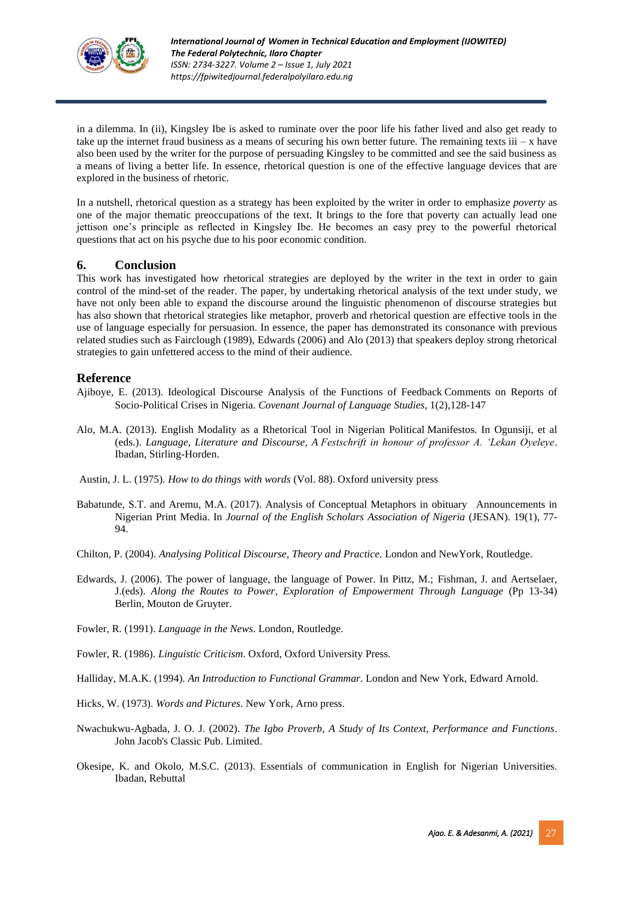

in a dilemma. In (ii), Kingsley Ibe is asked to ruminate over the poor life his father lived and also get ready to take up the internet fraud business as a means of securing his own better future. The remaining texts  $iii - x$  have also been used by the writer for the purpose of persuading Kingsley to be committed and see the said business as a means of living a better life. In essence, rhetorical question is one of the effective language devices that are explored in the business of rhetoric.

In a nutshell, rhetorical question as a strategy has been exploited by the writer in order to emphasize *poverty* as one of the major thematic preoccupations of the text. It brings to the fore that poverty can actually lead one jettison one's principle as reflected in Kingsley Ibe. He becomes an easy prey to the powerful rhetorical questions that act on his psyche due to his poor economic condition.

## **6. Conclusion**

This work has investigated how rhetorical strategies are deployed by the writer in the text in order to gain control of the mind-set of the reader. The paper, by undertaking rhetorical analysis of the text under study, we have not only been able to expand the discourse around the linguistic phenomenon of discourse strategies but has also shown that rhetorical strategies like metaphor, proverb and rhetorical question are effective tools in the use of language especially for persuasion. In essence, the paper has demonstrated its consonance with previous related studies such as Fairclough (1989), Edwards (2006) and Alo (2013) that speakers deploy strong rhetorical strategies to gain unfettered access to the mind of their audience.

## **Reference**

- Ajiboye, E. (2013). Ideological Discourse Analysis of the Functions of Feedback Comments on Reports of Socio-Political Crises in Nigeria. *Covenant Journal of Language Studies*, 1(2),128-147
- Alo, M.A. (2013). English Modality as a Rhetorical Tool in Nigerian Political Manifestos. In Ogunsiji, et al (eds.). *Language, Literature and Discourse, A Festschrift in honour of professor A. 'Lekan Oyeleye*. Ibadan, Stirling-Horden.
- Austin, J. L. (1975). *How to do things with words* (Vol. 88). Oxford university press
- Babatunde, S.T. and Aremu, M.A. (2017). Analysis of Conceptual Metaphors in obituary Announcements in Nigerian Print Media. In *Journal of the English Scholars Association of Nigeria* (JESAN). 19(1), 77- 94.
- Chilton, P. (2004). *Analysing Political Discourse, Theory and Practice.* London and NewYork, Routledge.
- Edwards, J. (2006). The power of language, the language of Power. In Pittz, M.; Fishman, J. and Aertselaer, J.(eds). *Along the Routes to Power, Exploration of Empowerment Through Language* (Pp 13-34) Berlin, Mouton de Gruyter.
- Fowler, R. (1991). *Language in the News*. London, Routledge.
- Fowler, R. (1986). *Linguistic Criticism*. Oxford, Oxford University Press.
- Halliday, M.A.K. (1994). *An Introduction to Functional Grammar*. London and New York, Edward Arnold.
- Hicks, W. (1973). *Words and Pictures*. New York, Arno press.
- Nwachukwu-Agbada, J. O. J. (2002). *The Igbo Proverb, A Study of Its Context, Performance and Functions*. John Jacob's Classic Pub. Limited.
- Okesipe, K. and Okolo, M.S.C. (2013). Essentials of communication in English for Nigerian Universities. Ibadan, Rebuttal